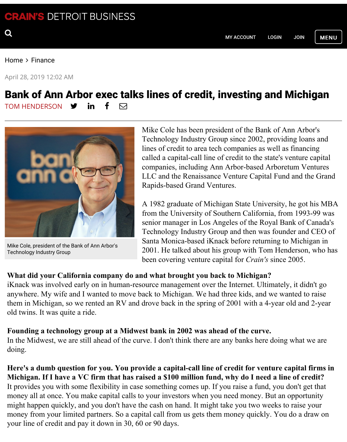April 28, 2019 12:02 AM

## Bank of Ann Arbor exec talks lines of credit, investing and M TOM HENDERSON  $\mathbf y$  in  $\mathbf f$   $\boxtimes$



Mike Cole, president of the [Ban](https://twitter.com/tomhenderson2)k o[f An](https://www.linkedin.com/pub/tom-henderson/5/123/95b)n A[rb](https://www.facebook.com/profile.php?id=1335326886&sk=wall)or's [Technology Industry Gro](https://www.crainsdetroit.com/staff/tomhen)up

Mike Cole has been president of the Bank of Ann Technology Industry Grou[p since 200](https://home.crainsdetroit.com/clickshare/myhome.do?CSTargetURL=%5Bcurrent-page%3Aurl%5D)2, [provi](https://home.crainsdetroit.com/clickshare/forceLogin.do?CSAuthReq=1&CSTargetURL=http%3A//www.crainsdetroit.com/)ding lines of credit to area tech companies as well as fi called a capital-call line of credit to the state's venture called a capital-call line of credit to the state's companies, including Ann Arbor-based Arboretum [LLC and the Renaissance Venture](https://googleads.g.doubleclick.net/pcs/click?xai=AKAOjssVQjBx60qoUMbz1KCjn-tSio0jhAK-vbZg7q_6sWFgaREHDT2gCUwF8XDoapOCQoE2M9s1rLXuQKC_OZr-SWnh3GLqkjJmUuEGq1tHfM-l7YmqQO9UyNjQaw6cAeaTpU5Dsv2uy23sA38JjmRGHJ7JJ5L3If0VEGUTT6c7E1MBXEIY5GfeBDaRM9t81RqTMlmXl9XkEohU3l5kmJRXOz-ko40-EBd9r_eez-wpkV0u4RLxXuwVUMVRyBRVpwkbnNPjpAuISEYmB7hjBTE&sai=AMfl-YTlGSYPZxWi8dRPB3BREMybIAqOf2nZVcvJDIIVacxNplzvWoGuOG7rXuicy8TdhqFuacQ3-ouM9xJwfQo7uTUC22P2BVksrvStx28NRg&sig=Cg0ArKJSzFWKeEwf0Glk&adurl=https://www.michamber.com/Straits_Tunnel) Capital Fund a Rapids-based Grand Ventures.

A 1982 graduate of Michigan State University, he from the University of Southern California, from senior manager in Los Angeles of the Royal Bank Technology Industry Group and then was founder Santa Monica-based iKnack before returning to M 2001. He talked about his group with Tom Hende been covering venture capital for *Crain's* since 20

## **What did your California company do and what brought you back to Michigan?**

iKnack was involved early on in human-resource management over the Internet. Ultimately, i anywhere. My wife and I wanted to move back to Michigan. We had three kids, and we want them in Michigan, so we rented an RV and drove back in the spring of 2001 with a 4-year old old twins. It was quite a ride.

## **Founding a technology group at a Midwest bank in 2002 was ahead of the curve.**

In the Midwest, we are still ahead of the curve. I don't think there are any banks here doing w doing.

Here's a dumb question for you. You provide a capital-call line of credit for venture cap Michigan. If I have a VC firm that has raised a \$100 million fund, why do I need a line of It provides you with some flexibility in case something comes up. If you raise a fund, you don't money all at once. You make capital calls to your investors when you need money. But an op might happen quickly, and you don't have the cash on hand. It might take you two weeks to raise money from your limited partners. So a capital call from us gets them money quickly. You do your line of credit and pay it down in 30, 60 or 90 days.